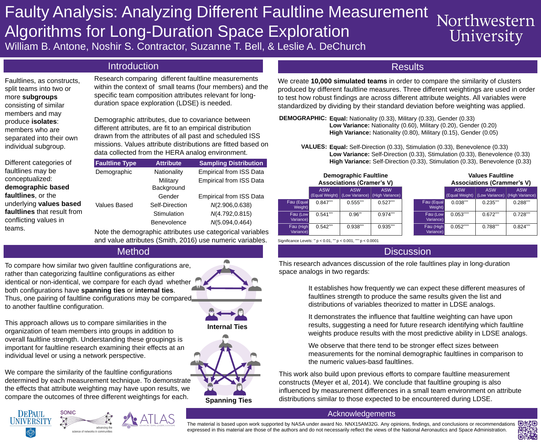# Acknowledgements



The material is based upon work supported by NASA under award No. NNX15AM32G. Any opinions, findings, and conclusions or recommendations expressed in this material are those of the authors and do not necessarily reflect the views of the National Aeronautics and Space Administration.

# Faulty Analysis: Analyzing Different Faultline Measurement Northwestern Algorithms for Long-Duration Space Exploration University William B. Antone, Noshir S. Contractor, Suzanne T. Bell, & Leslie A. DeChurch

# Introduction Results

This research advances discussion of the role faultlines play in long-duration space analogs in two regards:



**Military** Background

Demographic Mationality Empirical from ISS Data Empirical from ISS Data

- It establishes how frequently we can expect these different measures of faultlines strength to produce the same results given the list and distributions of variables theorized to matter in LDSE analogs.
- It demonstrates the influence that faultline weighting can have upon results, suggesting a need for future research identifying which faultline weights produce results with the most predictive ability in LDSE analogs.
- We observe that there tend to be stronger effect sizes between measurements for the nominal demographic faultlines in comparison to the numeric values-basd faultlines.

Gender Empirical from ISS Data Values Based Self-Direction *N*(2.906,0.638) Stimulation *N*(4.792,0.815) Benevolence *N*(5.094,0.464)

> This work also build upon previous efforts to compare faultline measurement constructs (Meyer et al, 2014). We conclude that faultline grouping is also influenced by measurement differences in a small team environment on attribute distributions similar to those expected to be encountered during LDSE.

We compare the similarity of the faultline configurations determined by each measurement technique. To demonstrate the effects that attribute weighting may have upon results, we compare the outcomes of three different weightings for each.







**Spanning Ties**

### **Faultline Type Attribute Sampling Distribution**

- **DEMOGRAPHIC: Equal: Nationality (0.33), Military (0.33), Gender (0.33) Low Variance:** Nationality (0.60), Military (0.20), Gender (0.20) **High Variance:** Nationality (0.80), Military (0.15), Gender (0.05)
	- **VALUES: Equal:** Self-Direction (0.33), Stimulation (0.33), Benevolence (0.33) **Low Variance:** Self-Direction (0.33), Stimulation (0.33), Benevolence (0.33) **High Variance:** Self-Direction (0.33), Stimulation (0.33), Benevolence (0.33)

To compare how similar two given faultline configurations are, rather than categorizing faultline configurations as either identical or non-identical, we compare for each dyad whether both configurations have **spanning ties** or **internal ties**. Thus, one pairing of faultline configurations may be compared to another faultline configuration.

This approach allows us to compare similarities in the organization of team members into groups in addition to overall faultline strength. Understanding these groupings is important for faultline research examining their effects at an individual level or using a network perspective.

We create **10,000 simulated teams** in order to compare the similarity of clusters produced by different faultline measures. Three different weightings are used in order to test how robust findings are across different attribute weights. All variables were standardized by dividing by their standard deviation before weighting was applied.

Fau (Equal

**Weight**)

Fau (Low

**Variance** 

Fau (High

Variance)

| <b>Demographic Faultline</b><br><b>Associations (Cramer's V)</b> |                                                                                                                      |                              |                               |                              | <b>Values Faultline</b><br><b>Associations (Crammer's V)</b> |                              |                               |  |
|------------------------------------------------------------------|----------------------------------------------------------------------------------------------------------------------|------------------------------|-------------------------------|------------------------------|--------------------------------------------------------------|------------------------------|-------------------------------|--|
|                                                                  | <b>ASW</b><br>(Equal Weight)                                                                                         | <b>ASW</b><br>(Low Variance) | <b>ASW</b><br>(High Variance) |                              | <b>ASW</b><br>(Equal Weight)                                 | <b>ASW</b><br>(Low Variance) | <b>ASW</b><br>(High Variance) |  |
|                                                                  | $0.847***$                                                                                                           | $0.555***$                   | $0.527***$                    | <b>Fau (Equal</b><br>Weight) | 0.038***                                                     | $0.235***$                   | $0.288***$                    |  |
|                                                                  | $0.541***$                                                                                                           | $0.96***$                    | $0.974***$                    | Fau (Low<br>Variance)        | $0.053***$                                                   | $0.672***$                   | $0.728***$                    |  |
|                                                                  | $0.542***$                                                                                                           | $0.938***$                   | $0.935***$                    | Fau (High<br>Variance)       | $0.052***$                                                   | $0.788***$                   | $0.824***$                    |  |
|                                                                  | $\bullet$ ** $\bullet$ $\bullet$ *** $\bullet$ $\bullet$ $\bullet$ ****<br>$\sim$ $\sim$ $\sim$ $\sim$ $\sim$ $\sim$ |                              |                               |                              |                                                              |                              |                               |  |

Significance Levels: \*\* p < 0.01,  $\degree$  p < 0.001,  $\degree$  $^*$ \* p  $< 0.0001$ 

Note the demographic attributes use categorical variables and value attributes (Smith, 2016) use numeric variables.

Research comparing different faultline measurements within the context of small teams (four members) and the specific team composition attributes relevant for longduration space exploration (LDSE) is needed.

Demographic attributes, due to covariance between different attributes, are fit to an empirical distribution drawn from the attributes of all past and scheduled ISS missions. Values attribute distributions are fitted based on data collected from the HERA analog environment.

Faultlines, as constructs, split teams into two or more **subgroups** consisting of similar members and may produce **isolates**: members who are separated into their own individual subgroup.

Different categories of faultlines may be conceptualized: **demographic based faultlines**, or the underlying **values based faultlines** that result from conflicting values in teams.